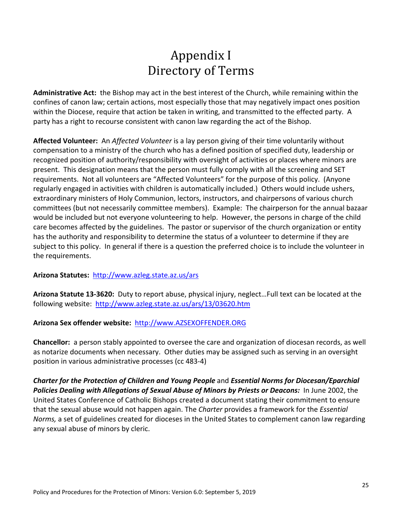## Appendix I Directory of Terms

**Administrative Act:** the Bishop may act in the best interest of the Church, while remaining within the confines of canon law; certain actions, most especially those that may negatively impact ones position within the Diocese, require that action be taken in writing, and transmitted to the effected party. A party has a right to recourse consistent with canon law regarding the act of the Bishop.

**Affected Volunteer:** An *Affected Volunteer* is a lay person giving of their time voluntarily without compensation to a ministry of the church who has a defined position of specified duty, leadership or recognized position of authority/responsibility with oversight of activities or places where minors are present. This designation means that the person must fully comply with all the screening and SET requirements. Not all volunteers are "Affected Volunteers" for the purpose of this policy. (Anyone regularly engaged in activities with children is automatically included.) Others would include ushers, extraordinary ministers of Holy Communion, lectors, instructors, and chairpersons of various church committees (but not necessarily committee members). Example: The chairperson for the annual bazaar would be included but not everyone volunteering to help. However, the persons in charge of the child care becomes affected by the guidelines. The pastor or supervisor of the church organization or entity has the authority and responsibility to determine the status of a volunteer to determine if they are subject to this policy. In general if there is a question the preferred choice is to include the volunteer in the requirements.

## **Arizona Statutes:** http://www.azleg.state.az.us/ars

**Arizona Statute 13-3620:** Duty to report abuse, physical injury, neglect…Full text can be located at the following website: http://www.azleg.state.az.us/ars/13/03620.htm

## **Arizona Sex offender website:** http://www.AZSEXOFFENDER.ORG

**Chancellor:** a person stably appointed to oversee the care and organization of diocesan records, as well as notarize documents when necessary. Other duties may be assigned such as serving in an oversight position in various administrative processes (cc 483-4)

*Charter for the Protection of Children and Young People* and *Essential Norms for Diocesan/Eparchial*  Policies Dealing with Allegations of Sexual Abuse of Minors by Priests or Deacons: In June 2002, the United States Conference of Catholic Bishops created a document stating their commitment to ensure that the sexual abuse would not happen again. The *Charter* provides a framework for the *Essential Norms,* a set of guidelines created for dioceses in the United States to complement canon law regarding any sexual abuse of minors by cleric.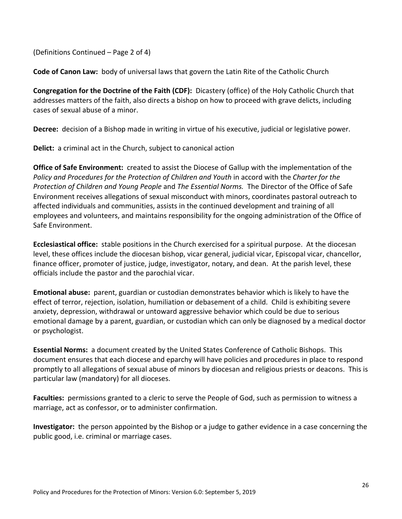(Definitions Continued – Page 2 of 4)

**Code of Canon Law:** body of universal laws that govern the Latin Rite of the Catholic Church

**Congregation for the Doctrine of the Faith (CDF):** Dicastery (office) of the Holy Catholic Church that addresses matters of the faith, also directs a bishop on how to proceed with grave delicts, including cases of sexual abuse of a minor.

**Decree:** decision of a Bishop made in writing in virtue of his executive, judicial or legislative power.

**Delict:** a criminal act in the Church, subject to canonical action

**Office of Safe Environment:** created to assist the Diocese of Gallup with the implementation of the *Policy and Procedures for the Protection of Children and Youth* in accord with the *Charter for the Protection of Children and Young People* and *The Essential Norms.* The Director of the Office of Safe Environment receives allegations of sexual misconduct with minors, coordinates pastoral outreach to affected individuals and communities, assists in the continued development and training of all employees and volunteers, and maintains responsibility for the ongoing administration of the Office of Safe Environment.

**Ecclesiastical office:** stable positions in the Church exercised for a spiritual purpose. At the diocesan level, these offices include the diocesan bishop, vicar general, judicial vicar, Episcopal vicar, chancellor, finance officer, promoter of justice, judge, investigator, notary, and dean. At the parish level, these officials include the pastor and the parochial vicar.

**Emotional abuse:** parent, guardian or custodian demonstrates behavior which is likely to have the effect of terror, rejection, isolation, humiliation or debasement of a child. Child is exhibiting severe anxiety, depression, withdrawal or untoward aggressive behavior which could be due to serious emotional damage by a parent, guardian, or custodian which can only be diagnosed by a medical doctor or psychologist.

**Essential Norms:** a document created by the United States Conference of Catholic Bishops. This document ensures that each diocese and eparchy will have policies and procedures in place to respond promptly to all allegations of sexual abuse of minors by diocesan and religious priests or deacons. This is particular law (mandatory) for all dioceses.

**Faculties:** permissions granted to a cleric to serve the People of God, such as permission to witness a marriage, act as confessor, or to administer confirmation.

**Investigator:** the person appointed by the Bishop or a judge to gather evidence in a case concerning the public good, i.e. criminal or marriage cases.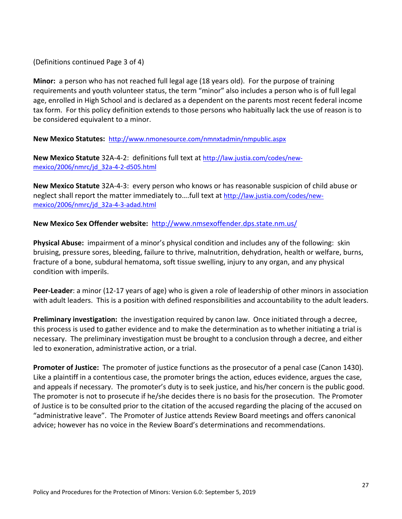(Definitions continued Page 3 of 4)

**Minor:** a person who has not reached full legal age (18 years old). For the purpose of training requirements and youth volunteer status, the term "minor" also includes a person who is of full legal age, enrolled in High School and is declared as a dependent on the parents most recent federal income tax form. For this policy definition extends to those persons who habitually lack the use of reason is to be considered equivalent to a minor.

**New Mexico Statutes:** http://www.nmonesource.com/nmnxtadmin/nmpublic.aspx

**New Mexico Statute** 32A-4-2: definitions full text at http://law.justia.com/codes/newmexico/2006/nmrc/jd\_32a-4-2-d505.html

**New Mexico Statute** 32A-4-3: every person who knows or has reasonable suspicion of child abuse or neglect shall report the matter immediately to….full text at http://law.justia.com/codes/newmexico/2006/nmrc/jd\_32a-4-3-adad.html

**New Mexico Sex Offender website:** http://www.nmsexoffender.dps.state.nm.us/

**Physical Abuse:** impairment of a minor's physical condition and includes any of the following: skin bruising, pressure sores, bleeding, failure to thrive, malnutrition, dehydration, health or welfare, burns, fracture of a bone, subdural hematoma, soft tissue swelling, injury to any organ, and any physical condition with imperils.

**Peer-Leader**: a minor (12-17 years of age) who is given a role of leadership of other minors in association with adult leaders. This is a position with defined responsibilities and accountability to the adult leaders.

**Preliminary investigation:** the investigation required by canon law. Once initiated through a decree, this process is used to gather evidence and to make the determination as to whether initiating a trial is necessary. The preliminary investigation must be brought to a conclusion through a decree, and either led to exoneration, administrative action, or a trial.

**Promoter of Justice:** The promoter of justice functions as the prosecutor of a penal case (Canon 1430). Like a plaintiff in a contentious case, the promoter brings the action, educes evidence, argues the case, and appeals if necessary. The promoter's duty is to seek justice, and his/her concern is the public good. The promoter is not to prosecute if he/she decides there is no basis for the prosecution. The Promoter of Justice is to be consulted prior to the citation of the accused regarding the placing of the accused on "administrative leave". The Promoter of Justice attends Review Board meetings and offers canonical advice; however has no voice in the Review Board's determinations and recommendations.